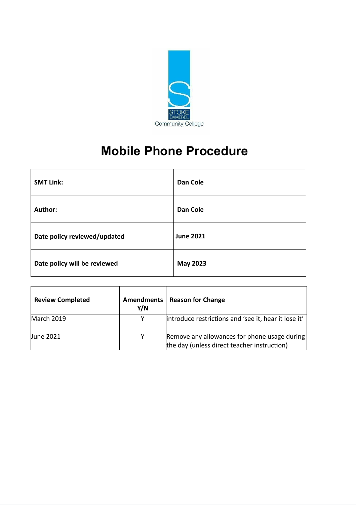

# **Mobile Phone Procedure**

| <b>SMT Link:</b>             | <b>Dan Cole</b>  |
|------------------------------|------------------|
| Author:                      | <b>Dan Cole</b>  |
| Date policy reviewed/updated | <b>June 2021</b> |
| Date policy will be reviewed | <b>May 2023</b>  |

| <b>Review Completed</b> | <b>Amendments</b><br>Y/N | <b>Reason for Change</b>                                                                    |
|-------------------------|--------------------------|---------------------------------------------------------------------------------------------|
| March 2019              | v                        | introduce restrictions and 'see it, hear it lose it'                                        |
| <b>June 2021</b>        | Y                        | Remove any allowances for phone usage during<br>the day (unless direct teacher instruction) |